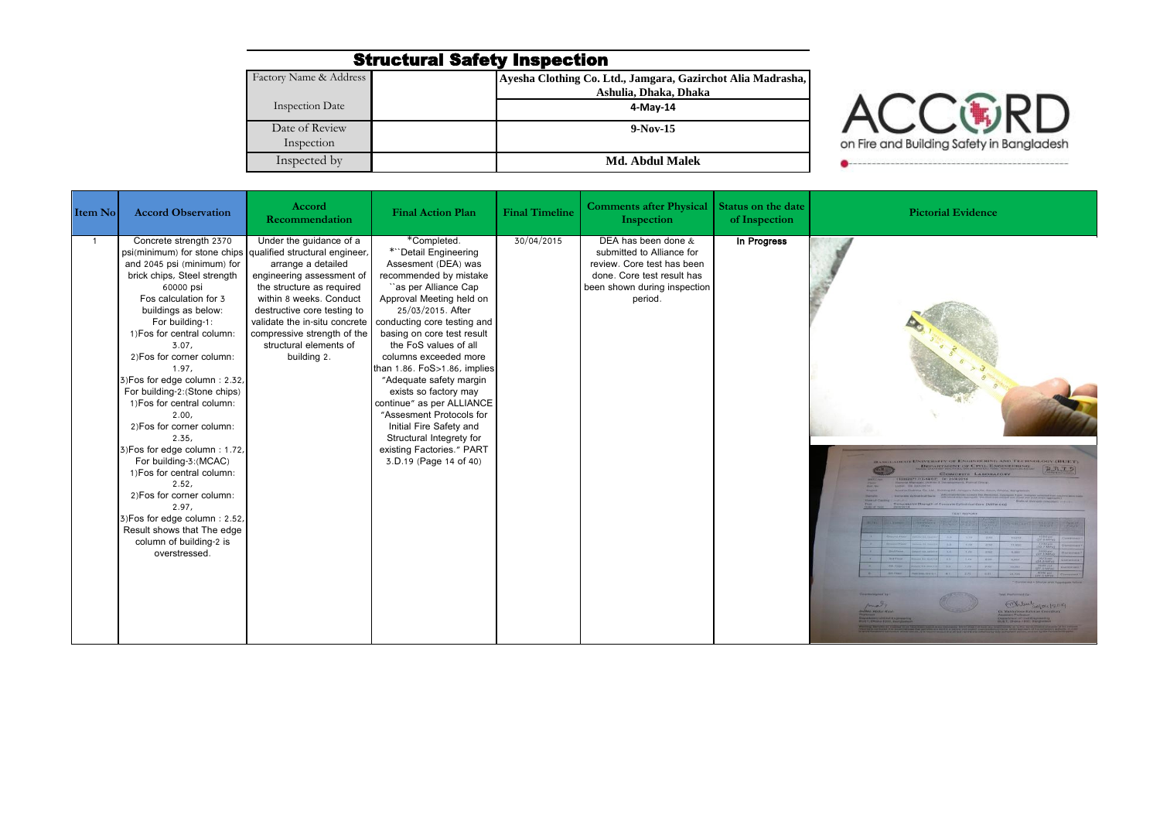## Structural Safety Inspection

| Factory Name & Address | Ayesha Clothing Co. Ltd., Jamgara, Gazirchot Alia Madrasha, |
|------------------------|-------------------------------------------------------------|
|                        | Ashulia, Dhaka, Dhaka                                       |
| Inspection Date        | 4-May-14                                                    |
| Date of Review         | $9-Nov-15$                                                  |
| Inspection             |                                                             |
| Inspected by           | Md. Abdul Malek                                             |



| Item No | <b>Accord Observation</b>                                                                                                                                                                                                                                                                                                                                                                                                                                                                                                                                                                                                                                                                                         | Accord<br>Recommendation                                                                                                                                                                                                                                                   | <b>Final Action Plan</b>                                                                                                                                                                                                                                                                                                                                                                                                                                                                                                                | <b>Final Timeline</b> | <b>Comments after Physical</b><br>Inspection                                                                                                            | <b>Status on the date</b><br>of Inspection | <b>Pictorial Evidence</b>                       |
|---------|-------------------------------------------------------------------------------------------------------------------------------------------------------------------------------------------------------------------------------------------------------------------------------------------------------------------------------------------------------------------------------------------------------------------------------------------------------------------------------------------------------------------------------------------------------------------------------------------------------------------------------------------------------------------------------------------------------------------|----------------------------------------------------------------------------------------------------------------------------------------------------------------------------------------------------------------------------------------------------------------------------|-----------------------------------------------------------------------------------------------------------------------------------------------------------------------------------------------------------------------------------------------------------------------------------------------------------------------------------------------------------------------------------------------------------------------------------------------------------------------------------------------------------------------------------------|-----------------------|---------------------------------------------------------------------------------------------------------------------------------------------------------|--------------------------------------------|-------------------------------------------------|
| - 1     | Concrete strength 2370<br>psi(minimum) for stone chips qualified structural engineer,<br>and 2045 psi (minimum) for<br>brick chips, Steel strength<br>60000 psi<br>Fos calculation for 3<br>buildings as below:<br>For building-1:<br>1) Fos for central column:<br>3.07.<br>2) Fos for corner column:<br>1.97.<br>3) Fos for edge column: 2.32,<br>For building-2: (Stone chips)<br>1) Fos for central column:<br>2.00.<br>2) Fos for corner column:<br>2.35,<br>3) Fos for edge column: 1.72,<br>For building-3: (MCAC)<br>1) Fos for central column:<br>2.52.<br>2) Fos for corner column:<br>2.97.<br>3) Fos for edge column: 2.52,<br>Result shows that The edge<br>column of building-2 is<br>overstressed. | Under the guidance of a<br>arrange a detailed<br>engineering assessment of<br>the structure as required<br>within 8 weeks. Conduct<br>destructive core testing to<br>validate the in-situ concrete<br>compressive strength of the<br>structural elements of<br>building 2. | *Completed.<br>*"Detail Engineering<br>Assesment (DEA) was<br>recommended by mistake<br>"as per Alliance Cap<br>Approval Meeting held on<br>25/03/2015. After<br>conducting core testing and<br>basing on core test result<br>the FoS values of all<br>columns exceeded more<br>than 1.86. FoS>1.86, implies<br>"Adequate safety margin<br>exists so factory may<br>continue" as per ALLIANCE<br>"Assesment Protocols for<br>Initial Fire Safety and<br>Structural Integrety for<br>existing Factories." PART<br>3.D.19 (Page 14 of 40) | 30/04/2015            | DEA has been done &<br>submitted to Alliance for<br>review. Core test has been<br>done. Core test result has<br>been shown during inspection<br>period. | In Progress                                | DEPARTMENT OF CIVIL ENGINEER<br>CONCRETE LABORA |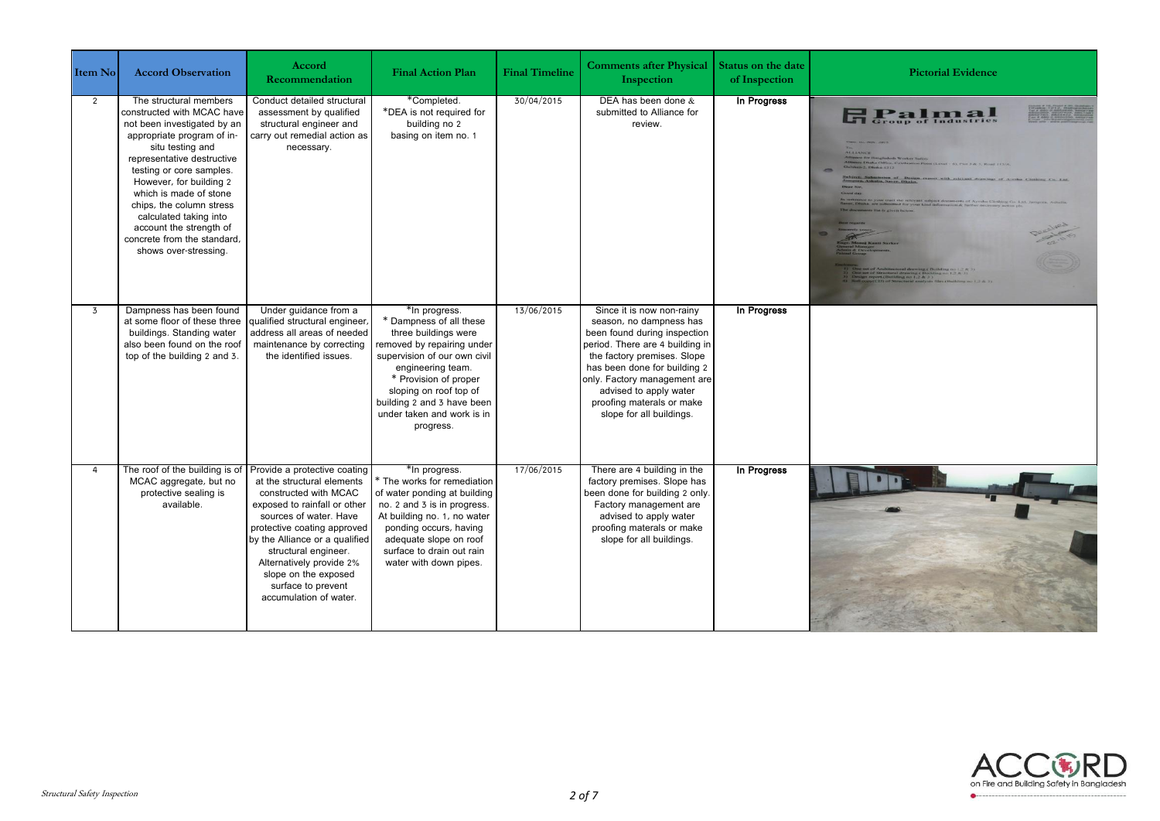| Item No        | <b>Accord Observation</b>                                                                                                                                                                                                                                                                                                                                                                     | Accord<br><b>Recommendation</b>                                                                                                                                                                                                                                                                                                            | <b>Final Action Plan</b>                                                                                                                                                                                                                                                        | <b>Final Timeline</b> | <b>Comments after Physical</b><br>Inspection                                                                                                                                                                                                                                                              | <b>Status on the date</b><br>of Inspection | <b>Pictorial Evidence</b>                                  |
|----------------|-----------------------------------------------------------------------------------------------------------------------------------------------------------------------------------------------------------------------------------------------------------------------------------------------------------------------------------------------------------------------------------------------|--------------------------------------------------------------------------------------------------------------------------------------------------------------------------------------------------------------------------------------------------------------------------------------------------------------------------------------------|---------------------------------------------------------------------------------------------------------------------------------------------------------------------------------------------------------------------------------------------------------------------------------|-----------------------|-----------------------------------------------------------------------------------------------------------------------------------------------------------------------------------------------------------------------------------------------------------------------------------------------------------|--------------------------------------------|------------------------------------------------------------|
| $\overline{2}$ | The structural members<br>constructed with MCAC have<br>not been investigated by an<br>appropriate program of in-<br>situ testing and<br>representative destructive<br>testing or core samples.<br>However, for building 2<br>which is made of stone<br>chips, the column stress<br>calculated taking into<br>account the strength of<br>concrete from the standard,<br>shows over-stressing. | Conduct detailed structural<br>assessment by qualified<br>structural engineer and<br>carry out remedial action as<br>necessary.                                                                                                                                                                                                            | *Completed.<br>*DEA is not required for<br>building no 2<br>basing on item no. 1                                                                                                                                                                                                | 30/04/2015            | DEA has been done $&$<br>submitted to Alliance for<br>review.                                                                                                                                                                                                                                             | In Progress                                | <b>H</b> Palmatics<br><b>ALLIANCE</b><br>In of Design repr |
| 3              | Dampness has been found<br>at some floor of these three<br>buildings. Standing water<br>also been found on the roof<br>top of the building 2 and 3.                                                                                                                                                                                                                                           | Under guidance from a<br>qualified structural engineer,<br>address all areas of needed<br>maintenance by correcting<br>the identified issues.                                                                                                                                                                                              | *In progress.<br>* Dampness of all these<br>three buildings were<br>removed by repairing under<br>supervision of our own civil<br>engineering team.<br>* Provision of proper<br>sloping on roof top of<br>building 2 and 3 have been<br>under taken and work is in<br>progress. | 13/06/2015            | Since it is now non-rainy<br>season, no dampness has<br>been found during inspection<br>period. There are 4 building in<br>the factory premises. Slope<br>has been done for building 2<br>only. Factory management are<br>advised to apply water<br>proofing materals or make<br>slope for all buildings. | In Progress                                |                                                            |
| $\overline{4}$ | The roof of the building is of<br>MCAC aggregate, but no<br>protective sealing is<br>available.                                                                                                                                                                                                                                                                                               | Provide a protective coating<br>at the structural elements<br>constructed with MCAC<br>exposed to rainfall or other<br>sources of water. Have<br>protective coating approved<br>by the Alliance or a qualified<br>structural engineer.<br>Alternatively provide 2%<br>slope on the exposed<br>surface to prevent<br>accumulation of water. | *In progress.<br>* The works for remediation<br>of water ponding at building<br>no. 2 and 3 is in progress.<br>At building no. 1, no water<br>ponding occurs, having<br>adequate slope on roof<br>surface to drain out rain<br>water with down pipes.                           | 17/06/2015            | There are 4 building in the<br>factory premises. Slope has<br>been done for building 2 only.<br>Factory management are<br>advised to apply water<br>proofing materals or make<br>slope for all buildings.                                                                                                 | In Progress                                |                                                            |

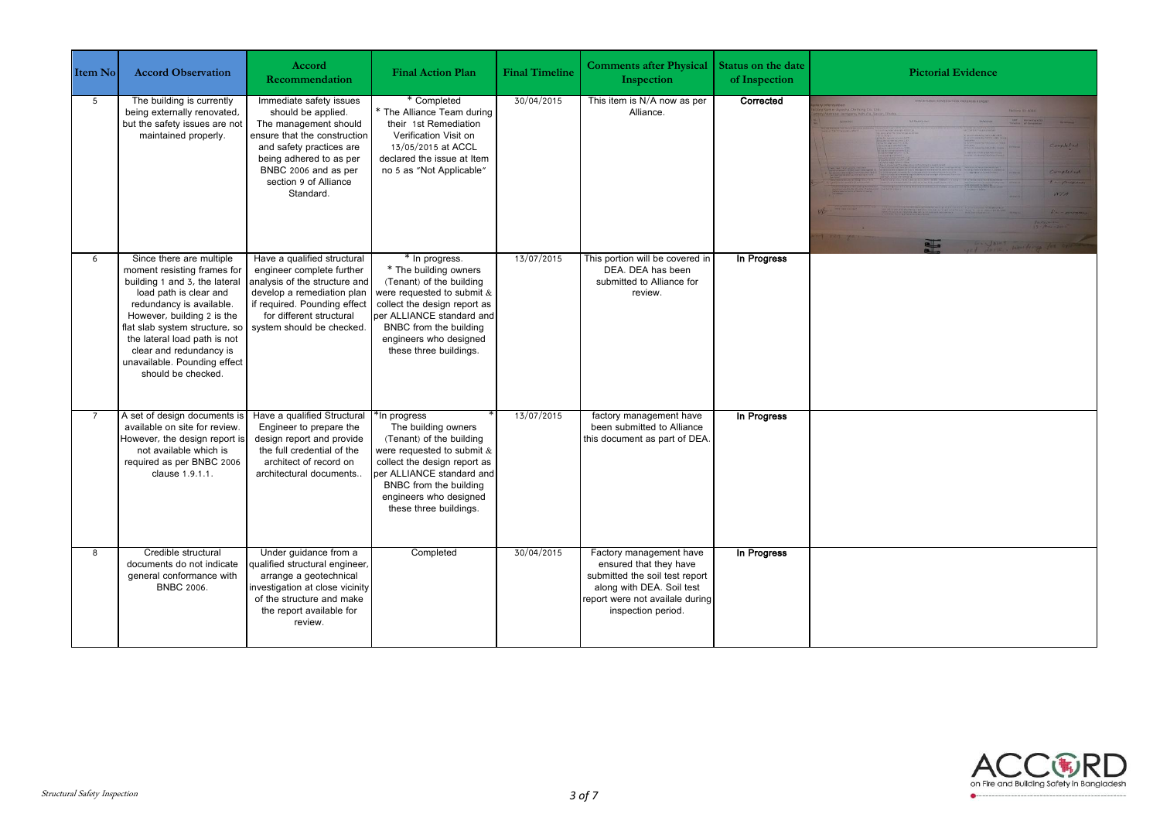| Item No        | <b>Accord Observation</b>                                                                                                                                                                                                                                                                                                       | Accord<br>Recommendation                                                                                                                                                                                                    | <b>Final Action Plan</b>                                                                                                                                                                                                                     | <b>Final Timeline</b> | <b>Comments after Physical</b><br>Inspection                                                                                                                              | <b>Status on the date</b><br>of Inspection | <b>Pictorial Evidence</b>                                                                                     |
|----------------|---------------------------------------------------------------------------------------------------------------------------------------------------------------------------------------------------------------------------------------------------------------------------------------------------------------------------------|-----------------------------------------------------------------------------------------------------------------------------------------------------------------------------------------------------------------------------|----------------------------------------------------------------------------------------------------------------------------------------------------------------------------------------------------------------------------------------------|-----------------------|---------------------------------------------------------------------------------------------------------------------------------------------------------------------------|--------------------------------------------|---------------------------------------------------------------------------------------------------------------|
| 5 <sup>5</sup> | The building is currently<br>being externally renovated,<br>but the safety issues are not<br>maintained properly.                                                                                                                                                                                                               | Immediate safety issues<br>should be applied.<br>The management should<br>ensure that the construction<br>and safety practices are<br>being adhered to as per<br>BNBC 2006 and as per<br>section 9 of Alliance<br>Standard. | * Completed<br>* The Alliance Team during<br>their 1st Remediation<br>Verification Visit on<br>13/05/2015 at ACCL<br>declared the issue at Item<br>no 5 as "Not Applicable"                                                                  | 30/04/2015            | This item is N/A now as per<br>Alliance.                                                                                                                                  | Corrected                                  | STRUCTURAL REMEDIATION PROGRESS REPOR<br>Completed<br>WIA<br>$E_{\rm P}$ - everyone<br>$\left  \cdot \right $ |
| 6              | Since there are multiple<br>moment resisting frames for<br>building 1 and 3, the lateral<br>load path is clear and<br>redundancy is available.<br>However, building 2 is the<br>flat slab system structure, so<br>the lateral load path is not<br>clear and redundancy is<br>unavailable. Pounding effect<br>should be checked. | Have a qualified structural<br>engineer complete further<br>analysis of the structure and<br>develop a remediation plan<br>if required. Pounding effect<br>for different structural<br>system should be checked.            | * In progress.<br>* The building owners<br>(Tenant) of the building<br>were requested to submit &<br>collect the design report as<br>per ALLIANCE standard and<br>BNBC from the building<br>engineers who designed<br>these three buildings. | 13/07/2015            | This portion will be covered in<br>DEA. DEA has been<br>submitted to Alliance for<br>review.                                                                              | In Progress                                |                                                                                                               |
|                | A set of design documents is<br>available on site for review.<br>However, the design report is<br>not available which is<br>required as per BNBC 2006<br>clause 1.9.1.1.                                                                                                                                                        | Have a qualified Structural<br>Engineer to prepare the<br>design report and provide<br>the full credential of the<br>architect of record on<br>architectural documents                                                      | In progress<br>The building owners<br>(Tenant) of the building<br>were requested to submit &<br>collect the design report as<br>ber ALLIANCE standard and<br>BNBC from the building<br>engineers who designed<br>these three buildings.      | 13/07/2015            | factory management have<br>been submitted to Alliance<br>this document as part of DEA.                                                                                    | In Progress                                |                                                                                                               |
| $\mathbf{g}$   | Credible structural<br>documents do not indicate<br>general conformance with<br><b>BNBC 2006.</b>                                                                                                                                                                                                                               | Under quidance from a<br>qualified structural engineer,<br>arrange a geotechnical<br>investigation at close vicinity<br>of the structure and make<br>the report available for<br>review.                                    | Completed                                                                                                                                                                                                                                    | 30/04/2015            | Factory management have<br>ensured that they have<br>submitted the soil test report<br>along with DEA. Soil test<br>report were not availale during<br>inspection period. | In Progress                                |                                                                                                               |

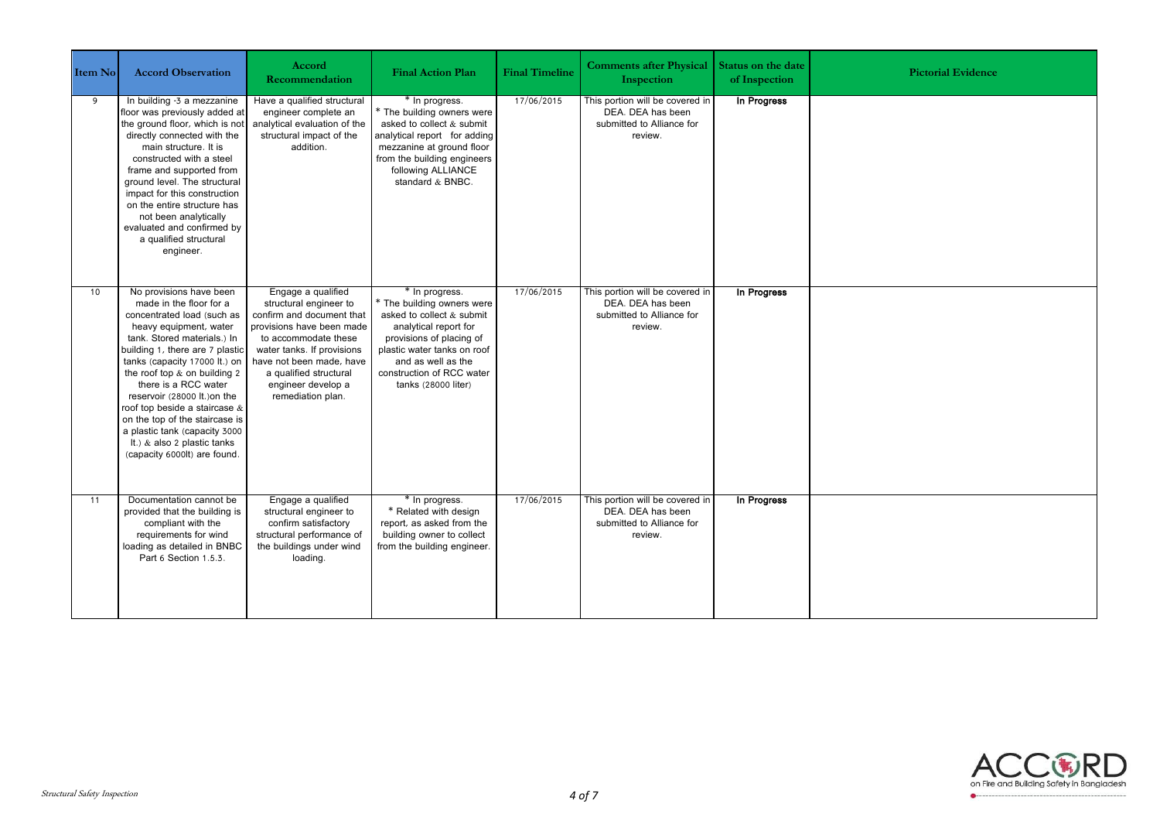| Item No | <b>Accord Observation</b>                                                                                                                                                                                                                                                                                                                                                                                                                                                | Accord<br><b>Recommendation</b>                                                                                                                                                                                                                               | <b>Final Action Plan</b>                                                                                                                                                                                                                | <b>Final Timeline</b> | <b>Comments after Physical</b><br>Inspection                                                 | <b>Status on the date</b><br>of Inspection | <b>Pictorial Evidence</b> |
|---------|--------------------------------------------------------------------------------------------------------------------------------------------------------------------------------------------------------------------------------------------------------------------------------------------------------------------------------------------------------------------------------------------------------------------------------------------------------------------------|---------------------------------------------------------------------------------------------------------------------------------------------------------------------------------------------------------------------------------------------------------------|-----------------------------------------------------------------------------------------------------------------------------------------------------------------------------------------------------------------------------------------|-----------------------|----------------------------------------------------------------------------------------------|--------------------------------------------|---------------------------|
| 9       | In building -3 a mezzanine<br>floor was previously added at<br>the ground floor, which is not<br>directly connected with the<br>main structure. It is<br>constructed with a steel<br>frame and supported from<br>ground level. The structural<br>impact for this construction<br>on the entire structure has<br>not been analytically<br>evaluated and confirmed by<br>a qualified structural<br>engineer.                                                               | Have a qualified structural<br>engineer complete an<br>analytical evaluation of the<br>structural impact of the<br>addition.                                                                                                                                  | * In progress.<br>* The building owners were<br>asked to collect & submit<br>analytical report for adding<br>mezzanine at ground floor<br>from the building engineers<br>following ALLIANCE<br>standard & BNBC.                         | 17/06/2015            | This portion will be covered in<br>DEA. DEA has been<br>submitted to Alliance for<br>review. | In Progress                                |                           |
| 10      | No provisions have been<br>made in the floor for a<br>concentrated load (such as<br>heavy equipment, water<br>tank. Stored materials.) In<br>building 1, there are 7 plastic<br>tanks (capacity 17000 lt.) on<br>the roof top & on building 2<br>there is a RCC water<br>reservoir (28000 lt.) on the<br>roof top beside a staircase &<br>on the top of the staircase is<br>a plastic tank (capacity 3000<br>It.) & also 2 plastic tanks<br>(capacity 6000lt) are found. | Engage a qualified<br>structural engineer to<br>confirm and document that<br>provisions have been made<br>to accommodate these<br>water tanks. If provisions<br>have not been made, have<br>a qualified structural<br>engineer develop a<br>remediation plan. | * In progress.<br>* The building owners were<br>asked to collect & submit<br>analytical report for<br>provisions of placing of<br>plastic water tanks on roof<br>and as well as the<br>construction of RCC water<br>tanks (28000 liter) | 17/06/2015            | This portion will be covered in<br>DEA. DEA has been<br>submitted to Alliance for<br>review. | In Progress                                |                           |
| 11      | Documentation cannot be<br>provided that the building is<br>compliant with the<br>requirements for wind<br>loading as detailed in BNBC<br>Part 6 Section 1.5.3.                                                                                                                                                                                                                                                                                                          | Engage a qualified<br>structural engineer to<br>confirm satisfactory<br>structural performance of<br>the buildings under wind<br>loading.                                                                                                                     | * In progress.<br>* Related with design<br>report, as asked from the<br>building owner to collect<br>from the building engineer.                                                                                                        | 17/06/2015            | This portion will be covered in<br>DEA. DEA has been<br>submitted to Alliance for<br>review. | In Progress                                |                           |

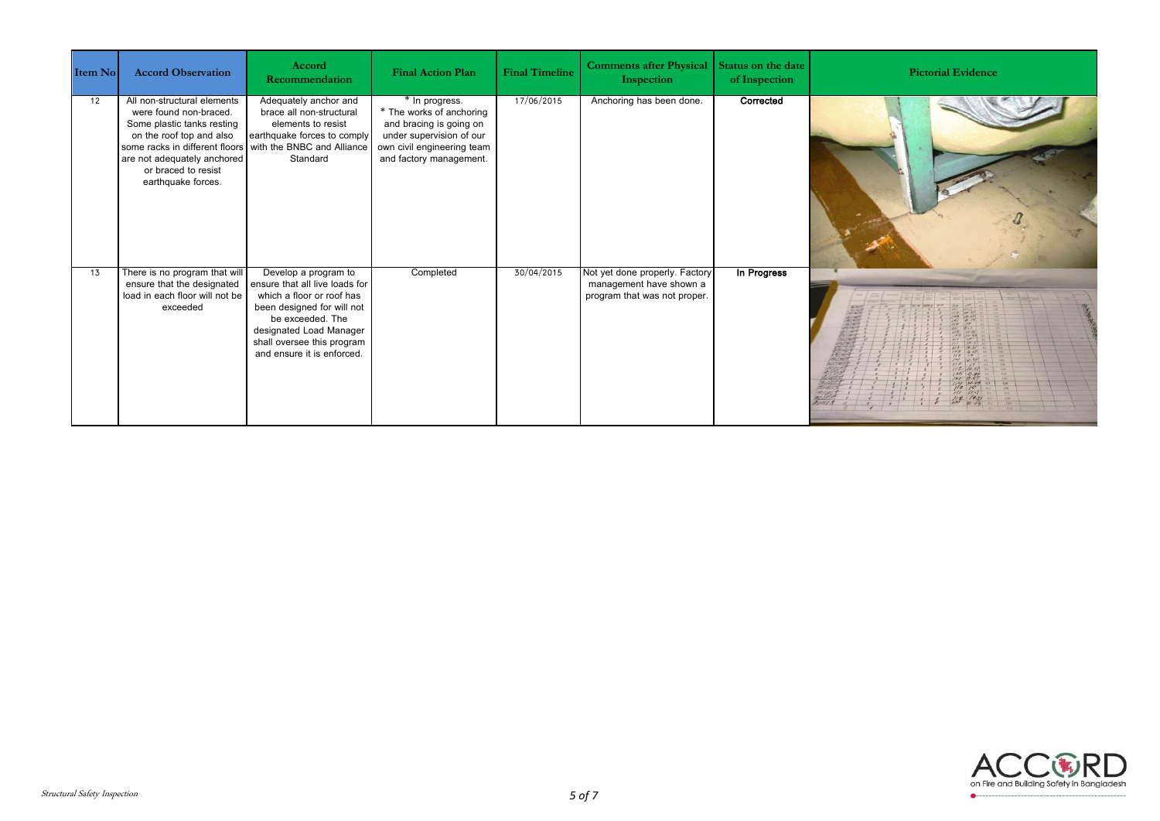| Item No | <b>Accord Observation</b>                                                                                                                                                                                                     | Accord<br>Recommendation                                                                                                                                                                                                     | <b>Final Action Plan</b>                                                                                                                                   | <b>Final Timeline</b> | <b>Comments after Physical</b><br>Inspection                                              | Status on the date<br>of Inspection | <b>Pictorial Evidence</b> |
|---------|-------------------------------------------------------------------------------------------------------------------------------------------------------------------------------------------------------------------------------|------------------------------------------------------------------------------------------------------------------------------------------------------------------------------------------------------------------------------|------------------------------------------------------------------------------------------------------------------------------------------------------------|-----------------------|-------------------------------------------------------------------------------------------|-------------------------------------|---------------------------|
| 12      | All non-structural elements<br>were found non-braced.<br>Some plastic tanks resting<br>on the roof top and also<br>some racks in different floors<br>are not adequately anchored<br>or braced to resist<br>earthquake forces. | Adequately anchor and<br>brace all non-structural<br>elements to resist<br>earthquake forces to comply<br>with the BNBC and Alliance<br>Standard                                                                             | * In progress.<br>* The works of anchoring<br>and bracing is going on<br>under supervision of our<br>own civil engineering team<br>and factory management. | 17/06/2015            | Anchoring has been done.                                                                  | Corrected                           |                           |
| 13      | There is no program that will<br>ensure that the designated<br>load in each floor will not be<br>exceeded                                                                                                                     | Develop a program to<br>ensure that all live loads for<br>which a floor or roof has<br>been designed for will not<br>be exceeded. The<br>designated Load Manager<br>shall oversee this program<br>and ensure it is enforced. | Completed                                                                                                                                                  | 30/04/2015            | Not yet done properly. Factory<br>management have shown a<br>program that was not proper. | In Progress                         |                           |

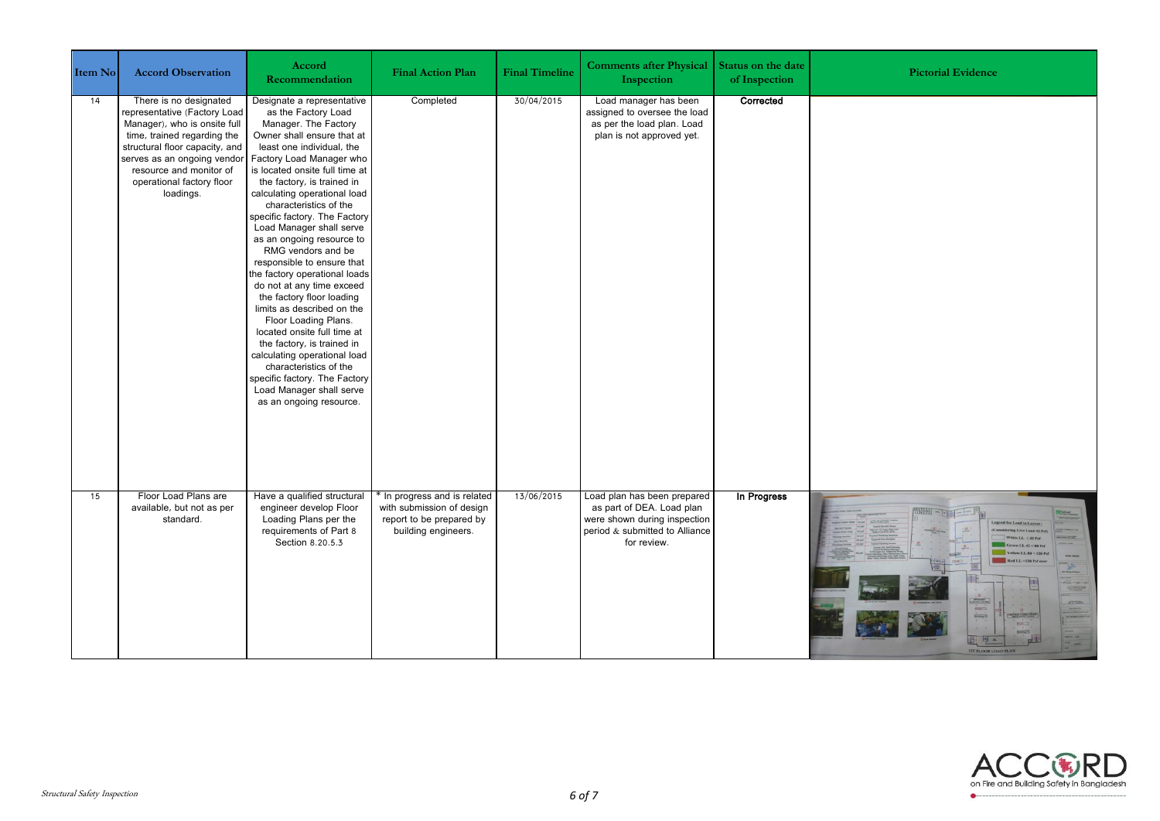| Item No | <b>Accord Observation</b>                                                                                                                                                                                                                                   | Accord<br>Recommendation                                                                                                                                                                                                                                                                                                                                                                                                                                                                                                                                                                                                                                                                                                                                                                                 | <b>Final Action Plan</b>                                                                                     | <b>Final Timeline</b> | <b>Comments after Physical</b><br>Inspection                                                                                              | Status on the date<br>of Inspection | <b>Pictorial Evidence</b>                                                                                                                                                                                                                                                                                                                                                                                                                                                                                                                             |
|---------|-------------------------------------------------------------------------------------------------------------------------------------------------------------------------------------------------------------------------------------------------------------|----------------------------------------------------------------------------------------------------------------------------------------------------------------------------------------------------------------------------------------------------------------------------------------------------------------------------------------------------------------------------------------------------------------------------------------------------------------------------------------------------------------------------------------------------------------------------------------------------------------------------------------------------------------------------------------------------------------------------------------------------------------------------------------------------------|--------------------------------------------------------------------------------------------------------------|-----------------------|-------------------------------------------------------------------------------------------------------------------------------------------|-------------------------------------|-------------------------------------------------------------------------------------------------------------------------------------------------------------------------------------------------------------------------------------------------------------------------------------------------------------------------------------------------------------------------------------------------------------------------------------------------------------------------------------------------------------------------------------------------------|
| 14      | There is no designated<br>representative (Factory Load<br>Manager), who is onsite full<br>time, trained regarding the<br>structural floor capacity, and<br>serves as an ongoing vendor<br>resource and monitor of<br>operational factory floor<br>loadings. | Designate a representative<br>as the Factory Load<br>Manager. The Factory<br>Owner shall ensure that at<br>least one individual, the<br>Factory Load Manager who<br>is located onsite full time at<br>the factory, is trained in<br>calculating operational load<br>characteristics of the<br>specific factory. The Factory<br>Load Manager shall serve<br>as an ongoing resource to<br>RMG vendors and be<br>responsible to ensure that<br>the factory operational loads<br>do not at any time exceed<br>the factory floor loading<br>limits as described on the<br>Floor Loading Plans.<br>located onsite full time at<br>the factory, is trained in<br>calculating operational load<br>characteristics of the<br>specific factory. The Factory<br>Load Manager shall serve<br>as an ongoing resource. | Completed                                                                                                    | 30/04/2015            | Load manager has been<br>assigned to oversee the load<br>as per the load plan. Load<br>plan is not approved yet.                          | Corrected                           |                                                                                                                                                                                                                                                                                                                                                                                                                                                                                                                                                       |
| 15      | Floor Load Plans are<br>available, but not as per<br>standard.                                                                                                                                                                                              | Have a qualified structural<br>engineer develop Floor<br>Loading Plans per the<br>requirements of Part 8<br>Section 8.20.5.3                                                                                                                                                                                                                                                                                                                                                                                                                                                                                                                                                                                                                                                                             | * In progress and is related<br>with submission of design<br>report to be prepared by<br>building engineers. | 13/06/2015            | Load plan has been prepared<br>as part of DEA. Load plan<br>were shown during inspection<br>period & submitted to Alliance<br>for review. | In Progress                         | $-42 < 80$ Pul<br>ellow LL 80 < 120 Pst<br>Red LL -120 Pul aver<br>100000<br><b>TOSHIM</b><br>$27500$<br>$\frac{1}{2}$<br>$\frac{1}{\left\  \sum_{i=1}^{n} \frac{1}{\left( \sum_{i=1}^{n} \frac{1}{\left( \sum_{i=1}^{n} \frac{1}{\left( \sum_{i=1}^{n} \frac{1}{\left( \sum_{i=1}^{n} \frac{1}{\left( \sum_{i=1}^{n} \frac{1}{\left( \sum_{i=1}^{n} \frac{1}{\left( \sum_{i=1}^{n} \frac{1}{\left( \sum_{i=1}^{n} \frac{1}{\left( \sum_{i=1}^{n} \frac{1}{\left( \sum_{i=1}^{n} \frac{1}{\left( \sum_{i=1}^{n} \frac{$<br><b>IST FLOOR LOAD PLAN</b> |